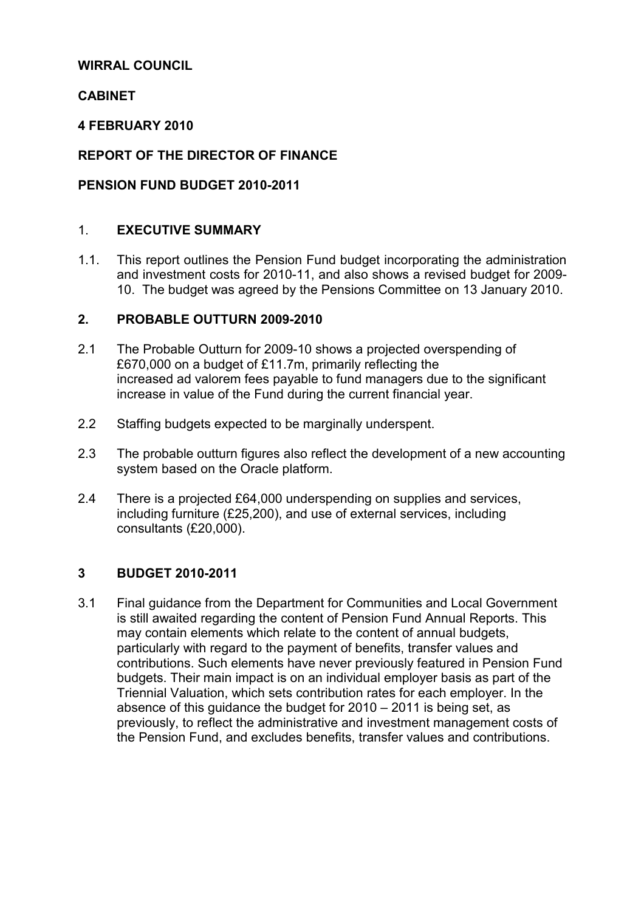### WIRRAL COUNCIL

### CABINET

#### 4 FEBRUARY 2010

### REPORT OF THE DIRECTOR OF FINANCE

### PENSION FUND BUDGET 2010-2011

### 1. EXECUTIVE SUMMARY

1.1. This report outlines the Pension Fund budget incorporating the administration and investment costs for 2010-11, and also shows a revised budget for 2009- 10. The budget was agreed by the Pensions Committee on 13 January 2010.

### 2. PROBABLE OUTTURN 2009-2010

- 2.1 The Probable Outturn for 2009-10 shows a projected overspending of £670,000 on a budget of £11.7m, primarily reflecting the increased ad valorem fees payable to fund managers due to the significant increase in value of the Fund during the current financial year.
- 2.2 Staffing budgets expected to be marginally underspent.
- 2.3 The probable outturn figures also reflect the development of a new accounting system based on the Oracle platform.
- 2.4 There is a projected £64,000 underspending on supplies and services, including furniture (£25,200), and use of external services, including consultants (£20,000).

#### 3 BUDGET 2010-2011

3.1 Final guidance from the Department for Communities and Local Government is still awaited regarding the content of Pension Fund Annual Reports. This may contain elements which relate to the content of annual budgets, particularly with regard to the payment of benefits, transfer values and contributions. Such elements have never previously featured in Pension Fund budgets. Their main impact is on an individual employer basis as part of the Triennial Valuation, which sets contribution rates for each employer. In the absence of this guidance the budget for 2010 – 2011 is being set, as previously, to reflect the administrative and investment management costs of the Pension Fund, and excludes benefits, transfer values and contributions.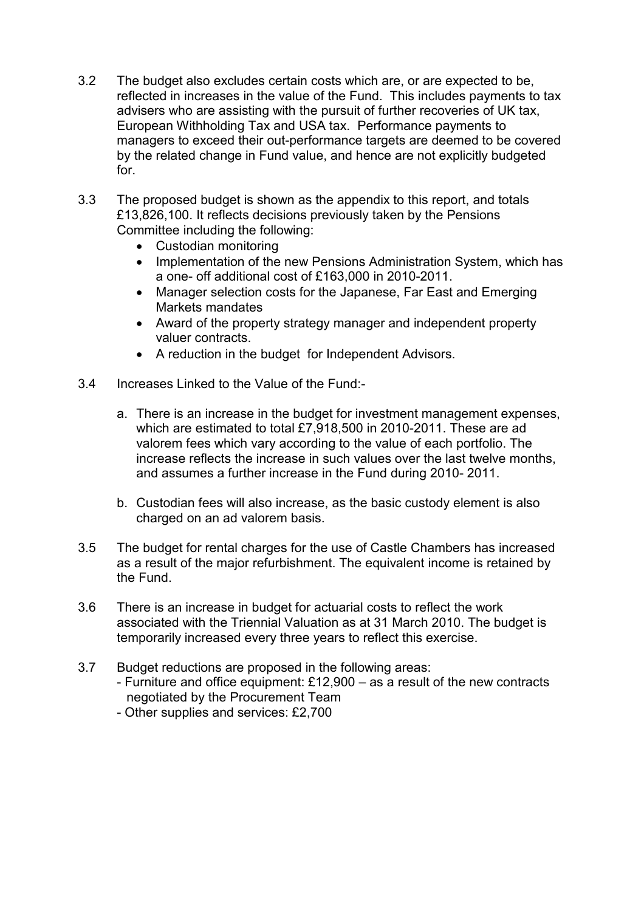- 3.2 The budget also excludes certain costs which are, or are expected to be, reflected in increases in the value of the Fund. This includes payments to tax advisers who are assisting with the pursuit of further recoveries of UK tax, European Withholding Tax and USA tax. Performance payments to managers to exceed their out-performance targets are deemed to be covered by the related change in Fund value, and hence are not explicitly budgeted for.
- 3.3 The proposed budget is shown as the appendix to this report, and totals £13,826,100. It reflects decisions previously taken by the Pensions Committee including the following:
	- Custodian monitoring
	- Implementation of the new Pensions Administration System, which has a one- off additional cost of £163,000 in 2010-2011.
	- Manager selection costs for the Japanese, Far East and Emerging Markets mandates
	- Award of the property strategy manager and independent property valuer contracts.
	- A reduction in the budget for Independent Advisors.
- 3.4 Increases Linked to the Value of the Fund:
	- a. There is an increase in the budget for investment management expenses, which are estimated to total £7,918,500 in 2010-2011. These are ad valorem fees which vary according to the value of each portfolio. The increase reflects the increase in such values over the last twelve months, and assumes a further increase in the Fund during 2010- 2011.
	- b. Custodian fees will also increase, as the basic custody element is also charged on an ad valorem basis.
- 3.5 The budget for rental charges for the use of Castle Chambers has increased as a result of the major refurbishment. The equivalent income is retained by the Fund.
- 3.6 There is an increase in budget for actuarial costs to reflect the work associated with the Triennial Valuation as at 31 March 2010. The budget is temporarily increased every three years to reflect this exercise.
- 3.7 Budget reductions are proposed in the following areas:
	- Furniture and office equipment: £12,900 as a result of the new contracts negotiated by the Procurement Team
	- Other supplies and services: £2,700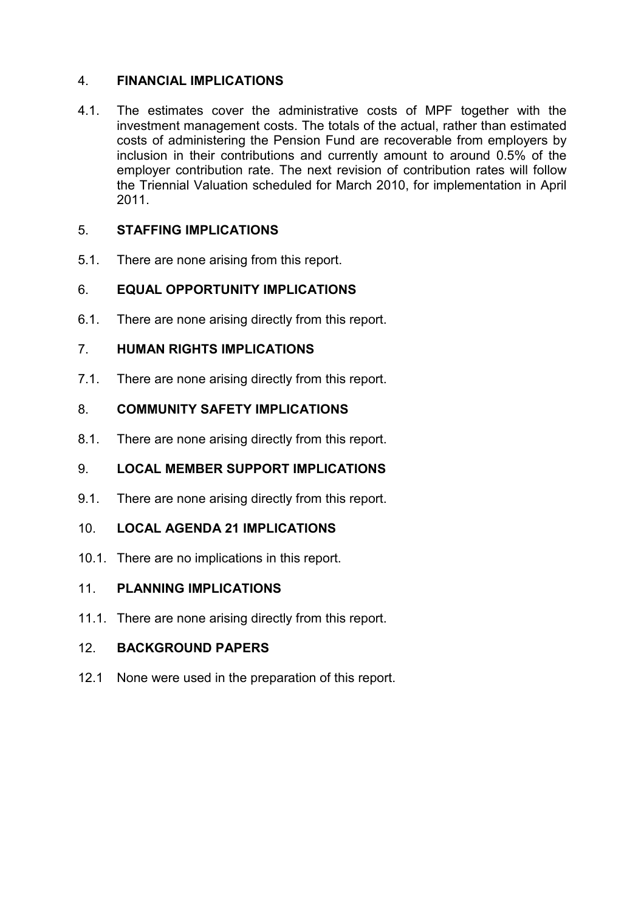## 4. FINANCIAL IMPLICATIONS

4.1. The estimates cover the administrative costs of MPF together with the investment management costs. The totals of the actual, rather than estimated costs of administering the Pension Fund are recoverable from employers by inclusion in their contributions and currently amount to around 0.5% of the employer contribution rate. The next revision of contribution rates will follow the Triennial Valuation scheduled for March 2010, for implementation in April 2011.

## 5. STAFFING IMPLICATIONS

5.1. There are none arising from this report.

## 6. EQUAL OPPORTUNITY IMPLICATIONS

6.1. There are none arising directly from this report.

## 7. HUMAN RIGHTS IMPLICATIONS

7.1. There are none arising directly from this report.

## 8. COMMUNITY SAFETY IMPLICATIONS

8.1. There are none arising directly from this report.

# 9. LOCAL MEMBER SUPPORT IMPLICATIONS

9.1. There are none arising directly from this report.

### 10. LOCAL AGENDA 21 IMPLICATIONS

10.1. There are no implications in this report.

### 11. PLANNING IMPLICATIONS

11.1. There are none arising directly from this report.

### 12. BACKGROUND PAPERS

12.1 None were used in the preparation of this report.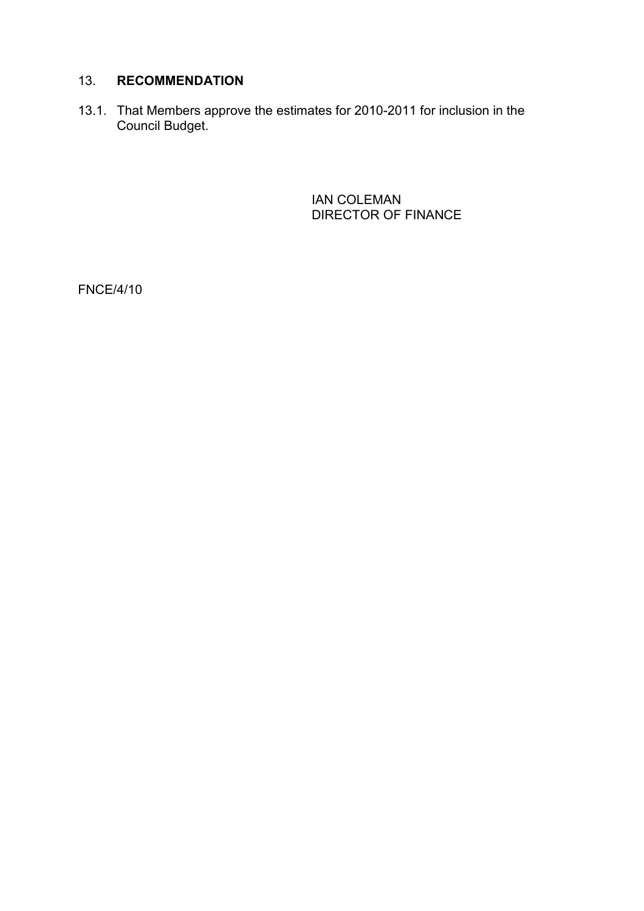### 13. RECOMMENDATION

13.1. That Members approve the estimates for 2010-2011 for inclusion in the Council Budget.

> IAN COLEMAN DIRECTOR OF FINANCE

FNCE/4/10